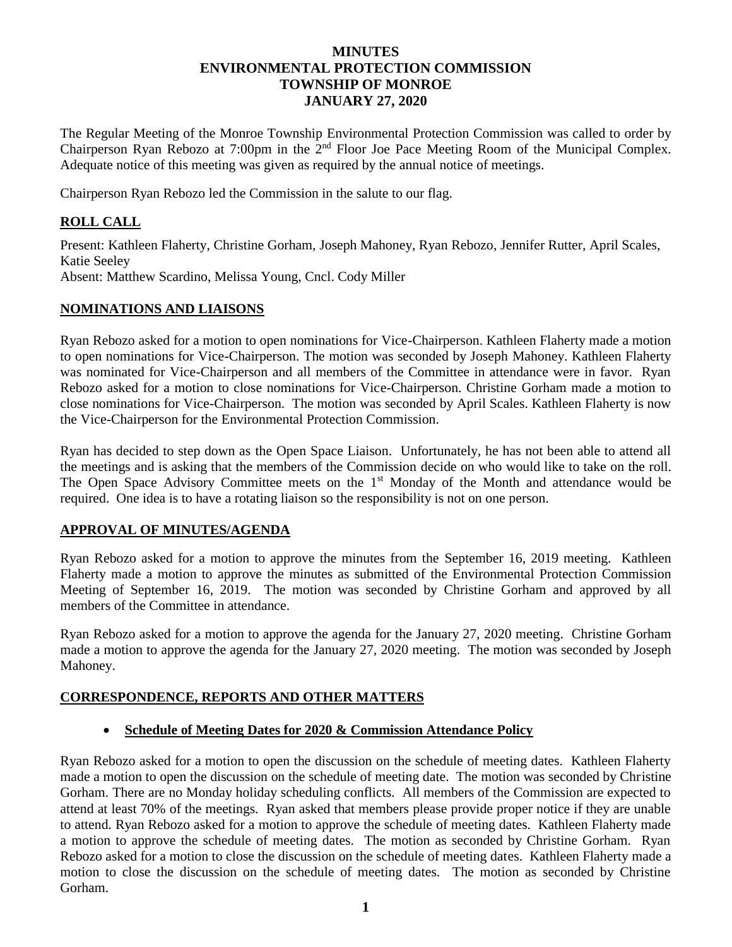## **MINUTES ENVIRONMENTAL PROTECTION COMMISSION TOWNSHIP OF MONROE JANUARY 27, 2020**

The Regular Meeting of the Monroe Township Environmental Protection Commission was called to order by Chairperson Ryan Rebozo at 7:00pm in the 2<sup>nd</sup> Floor Joe Pace Meeting Room of the Municipal Complex. Adequate notice of this meeting was given as required by the annual notice of meetings.

Chairperson Ryan Rebozo led the Commission in the salute to our flag.

# **ROLL CALL**

Present: Kathleen Flaherty, Christine Gorham, Joseph Mahoney, Ryan Rebozo, Jennifer Rutter, April Scales, Katie Seeley Absent: Matthew Scardino, Melissa Young, Cncl. Cody Miller

## **NOMINATIONS AND LIAISONS**

Ryan Rebozo asked for a motion to open nominations for Vice-Chairperson. Kathleen Flaherty made a motion to open nominations for Vice-Chairperson. The motion was seconded by Joseph Mahoney. Kathleen Flaherty was nominated for Vice-Chairperson and all members of the Committee in attendance were in favor. Ryan Rebozo asked for a motion to close nominations for Vice-Chairperson. Christine Gorham made a motion to close nominations for Vice-Chairperson. The motion was seconded by April Scales. Kathleen Flaherty is now the Vice-Chairperson for the Environmental Protection Commission.

Ryan has decided to step down as the Open Space Liaison. Unfortunately, he has not been able to attend all the meetings and is asking that the members of the Commission decide on who would like to take on the roll. The Open Space Advisory Committee meets on the 1<sup>st</sup> Monday of the Month and attendance would be required. One idea is to have a rotating liaison so the responsibility is not on one person.

## **APPROVAL OF MINUTES/AGENDA**

Ryan Rebozo asked for a motion to approve the minutes from the September 16, 2019 meeting. Kathleen Flaherty made a motion to approve the minutes as submitted of the Environmental Protection Commission Meeting of September 16, 2019. The motion was seconded by Christine Gorham and approved by all members of the Committee in attendance.

Ryan Rebozo asked for a motion to approve the agenda for the January 27, 2020 meeting. Christine Gorham made a motion to approve the agenda for the January 27, 2020 meeting. The motion was seconded by Joseph Mahoney.

## **CORRESPONDENCE, REPORTS AND OTHER MATTERS**

#### **Schedule of Meeting Dates for 2020 & Commission Attendance Policy**

Ryan Rebozo asked for a motion to open the discussion on the schedule of meeting dates. Kathleen Flaherty made a motion to open the discussion on the schedule of meeting date. The motion was seconded by Christine Gorham. There are no Monday holiday scheduling conflicts. All members of the Commission are expected to attend at least 70% of the meetings. Ryan asked that members please provide proper notice if they are unable to attend. Ryan Rebozo asked for a motion to approve the schedule of meeting dates. Kathleen Flaherty made a motion to approve the schedule of meeting dates. The motion as seconded by Christine Gorham. Ryan Rebozo asked for a motion to close the discussion on the schedule of meeting dates. Kathleen Flaherty made a motion to close the discussion on the schedule of meeting dates. The motion as seconded by Christine Gorham.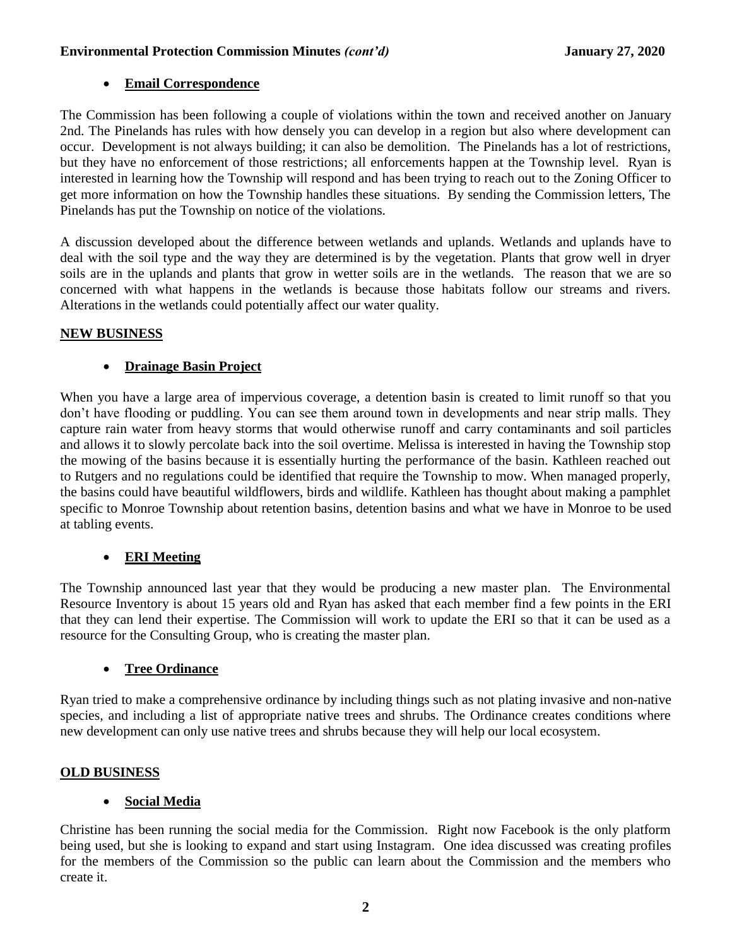#### **Environmental Protection Commission Minutes** *(cont'd)* **January 27, 2020**

# **Email Correspondence**

The Commission has been following a couple of violations within the town and received another on January 2nd. The Pinelands has rules with how densely you can develop in a region but also where development can occur. Development is not always building; it can also be demolition. The Pinelands has a lot of restrictions, but they have no enforcement of those restrictions; all enforcements happen at the Township level. Ryan is interested in learning how the Township will respond and has been trying to reach out to the Zoning Officer to get more information on how the Township handles these situations. By sending the Commission letters, The Pinelands has put the Township on notice of the violations.

A discussion developed about the difference between wetlands and uplands. Wetlands and uplands have to deal with the soil type and the way they are determined is by the vegetation. Plants that grow well in dryer soils are in the uplands and plants that grow in wetter soils are in the wetlands. The reason that we are so concerned with what happens in the wetlands is because those habitats follow our streams and rivers. Alterations in the wetlands could potentially affect our water quality.

#### **NEW BUSINESS**

## **Drainage Basin Project**

When you have a large area of impervious coverage, a detention basin is created to limit runoff so that you don't have flooding or puddling. You can see them around town in developments and near strip malls. They capture rain water from heavy storms that would otherwise runoff and carry contaminants and soil particles and allows it to slowly percolate back into the soil overtime. Melissa is interested in having the Township stop the mowing of the basins because it is essentially hurting the performance of the basin. Kathleen reached out to Rutgers and no regulations could be identified that require the Township to mow. When managed properly, the basins could have beautiful wildflowers, birds and wildlife. Kathleen has thought about making a pamphlet specific to Monroe Township about retention basins, detention basins and what we have in Monroe to be used at tabling events.

## **ERI Meeting**

The Township announced last year that they would be producing a new master plan. The Environmental Resource Inventory is about 15 years old and Ryan has asked that each member find a few points in the ERI that they can lend their expertise. The Commission will work to update the ERI so that it can be used as a resource for the Consulting Group, who is creating the master plan.

## **Tree Ordinance**

Ryan tried to make a comprehensive ordinance by including things such as not plating invasive and non-native species, and including a list of appropriate native trees and shrubs. The Ordinance creates conditions where new development can only use native trees and shrubs because they will help our local ecosystem.

## **OLD BUSINESS**

## **Social Media**

Christine has been running the social media for the Commission. Right now Facebook is the only platform being used, but she is looking to expand and start using Instagram. One idea discussed was creating profiles for the members of the Commission so the public can learn about the Commission and the members who create it.